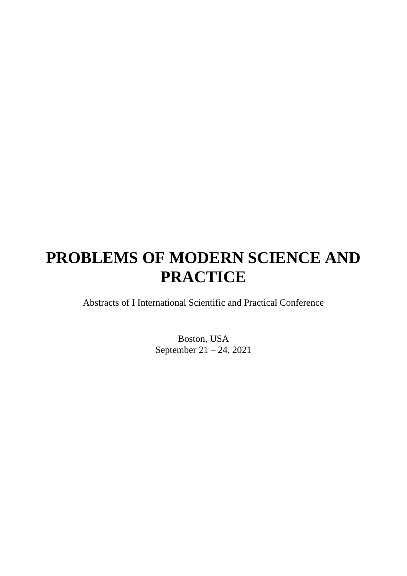# **PROBLEMS OF MODERN SCIENCE AND PRACTICE**

Abstracts of I International Scientific and Practical Conference

Boston, USA September 21 – 24, 2021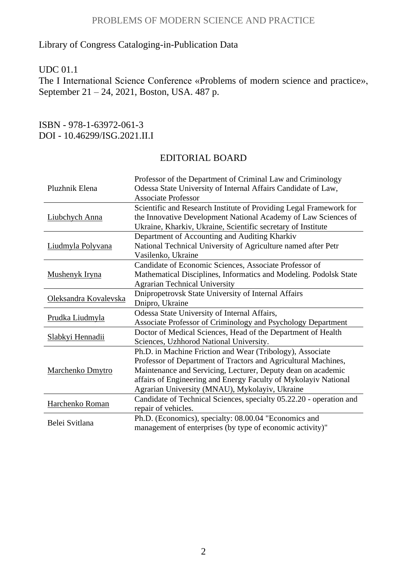#### PROBLEMS OF MODERN SCIENCE AND PRACTICE

# Library of Congress Cataloging-in-Publication Data

## UDC 01.1

The I International Science Conference «Problems of modern science and practice», September 21 – 24, 2021, Boston, USA. 487 p.

#### ISBN - 978-1-63972-061-3 DOI - 10.46299/ISG.2021.II.I

# EDITORIAL BOARD

| Pluzhnik Elena        | Professor of the Department of Criminal Law and Criminology<br>Odessa State University of Internal Affairs Candidate of Law,<br><b>Associate Professor</b>                                                                                                                                                       |
|-----------------------|------------------------------------------------------------------------------------------------------------------------------------------------------------------------------------------------------------------------------------------------------------------------------------------------------------------|
| Liubchych Anna        | Scientific and Research Institute of Providing Legal Framework for<br>the Innovative Development National Academy of Law Sciences of<br>Ukraine, Kharkiv, Ukraine, Scientific secretary of Institute                                                                                                             |
| Liudmyla Polyvana     | Department of Accounting and Auditing Kharkiv<br>National Technical University of Agriculture named after Petr<br>Vasilenko, Ukraine                                                                                                                                                                             |
| <b>Mushenyk Iryna</b> | Candidate of Economic Sciences, Associate Professor of<br>Mathematical Disciplines, Informatics and Modeling. Podolsk State<br><b>Agrarian Technical University</b>                                                                                                                                              |
| Oleksandra Kovalevska | Dnipropetrovsk State University of Internal Affairs<br>Dnipro, Ukraine                                                                                                                                                                                                                                           |
| Prudka Liudmyla       | Odessa State University of Internal Affairs,<br>Associate Professor of Criminology and Psychology Department                                                                                                                                                                                                     |
| Slabkyi Hennadii      | Doctor of Medical Sciences, Head of the Department of Health<br>Sciences, Uzhhorod National University.                                                                                                                                                                                                          |
| Marchenko Dmytro      | Ph.D. in Machine Friction and Wear (Tribology), Associate<br>Professor of Department of Tractors and Agricultural Machines,<br>Maintenance and Servicing, Lecturer, Deputy dean on academic<br>affairs of Engineering and Energy Faculty of Mykolayiv National<br>Agrarian University (MNAU), Mykolayiv, Ukraine |
| Harchenko Roman       | Candidate of Technical Sciences, specialty 05.22.20 - operation and<br>repair of vehicles.                                                                                                                                                                                                                       |
| Belei Svitlana        | Ph.D. (Economics), specialty: 08.00.04 "Economics and<br>management of enterprises (by type of economic activity)"                                                                                                                                                                                               |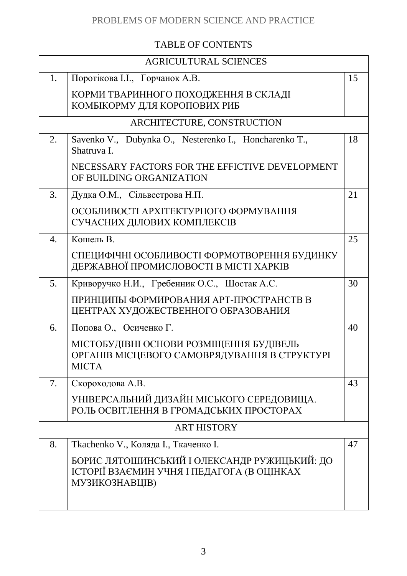# PROBLEMS OF MODERN SCIENCE AND PRACTICE

# TABLE OF CONTENTS

|                  | <b>AGRICULTURAL SCIENCES</b>                                                                                        |    |
|------------------|---------------------------------------------------------------------------------------------------------------------|----|
| 1.               | Поротікова І.І., Горчанок А.В.                                                                                      | 15 |
|                  | КОРМИ ТВАРИННОГО ПОХОДЖЕННЯ В СКЛАДІ<br>КОМБІКОРМУ ДЛЯ КОРОПОВИХ РИБ                                                |    |
|                  | ARCHITECTURE, CONSTRUCTION                                                                                          |    |
| 2.               | Savenko V., Dubynka O., Nesterenko I., Honcharenko T.,<br>Shatruva I.                                               | 18 |
|                  | NECESSARY FACTORS FOR THE EFFICTIVE DEVELOPMENT<br>OF BUILDING ORGANIZATION                                         |    |
| 3.               | Дудка О.М., Сільвестрова Н.П.                                                                                       | 21 |
|                  | ОСОБЛИВОСТІ АРХІТЕКТУРНОГО ФОРМУВАННЯ<br>СУЧАСНИХ ДІЛОВИХ КОМПЛЕКСІВ                                                |    |
| $\overline{4}$ . | Кошель В.                                                                                                           | 25 |
|                  | СПЕЦИФІЧНІ ОСОБЛИВОСТІ ФОРМОТВОРЕННЯ БУДИНКУ<br>ДЕРЖАВНОЇ ПРОМИСЛОВОСТІ В МІСТІ ХАРКІВ                              |    |
| 5 <sub>1</sub>   | Криворучко Н.И., Гребенник О.С., Шостак А.С.                                                                        | 30 |
|                  | ПРИНЦИПЫ ФОРМИРОВАНИЯ АРТ-ПРОСТРАНСТВ В<br>ЦЕНТРАХ ХУДОЖЕСТВЕННОГО ОБРАЗОВАНИЯ                                      |    |
| 6.               | Попова О., Осиченко Г.                                                                                              | 40 |
|                  | МІСТОБУДІВНІ ОСНОВИ РОЗМІЩЕННЯ БУДІВЕЛЬ<br>ОРГАНІВ МІСЦЕВОГО САМОВРЯДУВАННЯ В СТРУКТУРІ<br><b>MICTA</b>             |    |
| 7.               | Скороходова А.В.                                                                                                    | 43 |
|                  | УНІВЕРСАЛЬНИЙ ДИЗАЙН МІСЬКОГО СЕРЕДОВИЩА.<br>РОЛЬ ОСВІТЛЕННЯ В ГРОМАДСЬКИХ ПРОСТОРАХ                                |    |
|                  | <b>ART HISTORY</b>                                                                                                  |    |
| 8.               | Tkachenko V., Коляда I., Ткаченко I.                                                                                | 47 |
|                  | БОРИС ЛЯТОШИНСЬКИЙ І ОЛЕКСАНДР РУЖИЦЬКИЙ: ДО<br>ІСТОРІЇ ВЗАЄМИН УЧНЯ І ПЕДАГОГА (В ОЦІНКАХ<br><b>МУЗИКОЗНАВЦІВ)</b> |    |
|                  |                                                                                                                     |    |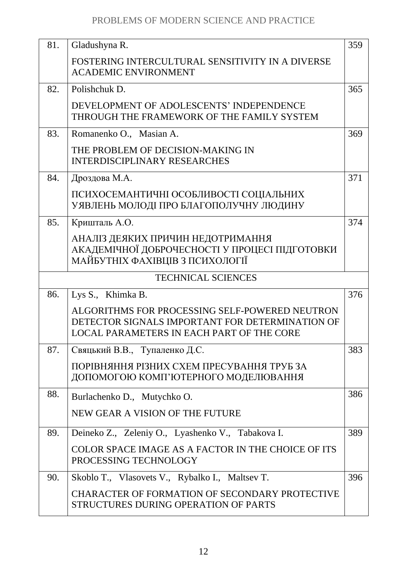| 81. | Gladushyna R.                                                                                                                                  | 359 |
|-----|------------------------------------------------------------------------------------------------------------------------------------------------|-----|
|     | FOSTERING INTERCULTURAL SENSITIVITY IN A DIVERSE<br><b>ACADEMIC ENVIRONMENT</b>                                                                |     |
| 82. | Polishchuk D.                                                                                                                                  | 365 |
|     | DEVELOPMENT OF ADOLESCENTS' INDEPENDENCE<br>THROUGH THE FRAMEWORK OF THE FAMILY SYSTEM                                                         |     |
| 83. | Romanenko O., Masian A.                                                                                                                        | 369 |
|     | THE PROBLEM OF DECISION-MAKING IN<br><b>INTERDISCIPLINARY RESEARCHES</b>                                                                       |     |
| 84. | Дроздова М.А.                                                                                                                                  | 371 |
|     | ПСИХОСЕМАНТИЧНІ ОСОБЛИВОСТІ СОЦІАЛЬНИХ<br>УЯВЛЕНЬ МОЛОДІ ПРО БЛАГОПОЛУЧНУ ЛЮДИНУ                                                               |     |
| 85. | Кришталь А.О.                                                                                                                                  | 374 |
|     | АНАЛІЗ ДЕЯКИХ ПРИЧИН НЕДОТРИМАННЯ<br>АКАДЕМІЧНОЇ ДОБРОЧЕСНОСТІ У ПРОЦЕСІ ПІДГОТОВКИ<br>МАЙБУТНІХ ФАХІВЦІВ З ПСИХОЛОГІЇ                         |     |
|     | <b>TECHNICAL SCIENCES</b>                                                                                                                      |     |
| 86. | Lys S., Khimka B.                                                                                                                              | 376 |
|     | ALGORITHMS FOR PROCESSING SELF-POWERED NEUTRON<br>DETECTOR SIGNALS IMPORTANT FOR DETERMINATION OF<br>LOCAL PARAMETERS IN EACH PART OF THE CORE |     |
| 87. | Свяцький В.В., Тупаленко Д.С.                                                                                                                  | 383 |
|     | ПОРІВНЯННЯ РІЗНИХ СХЕМ ПРЕСУВАННЯ ТРУБ ЗА<br>ДОПОМОГОЮ КОМП'ЮТЕРНОГО МОДЕЛЮВАННЯ                                                               |     |
| 88. | Burlachenko D., Mutychko O.                                                                                                                    | 386 |
|     | NEW GEAR A VISION OF THE FUTURE                                                                                                                |     |
| 89. | Deineko Z., Zeleniy O., Lyashenko V., Tabakova I.                                                                                              | 389 |
|     | COLOR SPACE IMAGE AS A FACTOR IN THE CHOICE OF ITS<br>PROCESSING TECHNOLOGY                                                                    |     |
| 90. | Skoblo T., Vlasovets V., Rybalko I., Maltsev T.                                                                                                | 396 |
|     | <b>CHARACTER OF FORMATION OF SECONDARY PROTECTIVE</b><br>STRUCTURES DURING OPERATION OF PARTS                                                  |     |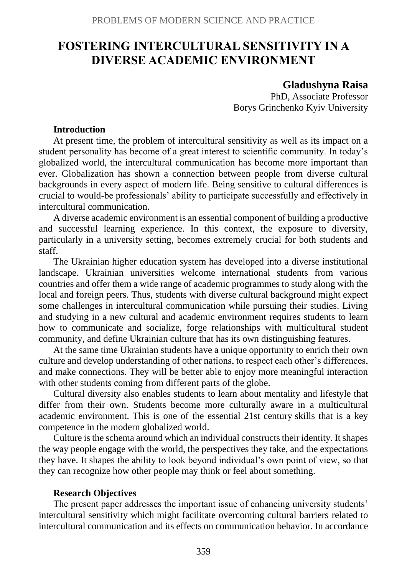# **FOSTERING INTERCULTURAL SENSITIVITY IN A DIVERSE ACADEMIC ENVIRONMENT**

### **Gladushyna Raisa**

PhD, Associate Professor Borys Grinchenko Kyiv University

#### **Introduction**

At present time, the problem of intercultural sensitivity as well as its impact on a student personality has become of a great interest to scientific community. In today's globalized world, the intercultural communication has become more important than ever. Globalization has shown a connection between people from diverse cultural backgrounds in every aspect of modern life. Being sensitive to cultural differences is crucial to would-be professionals' ability to participate successfully and effectively in intercultural communication.

A diverse academic environment is an essential component of building a productive and successful learning experience. In this context, the exposure to diversity, particularly in a university setting, becomes extremely crucial for both students and staff.

The Ukrainian higher education system has developed into a diverse institutional landscape. Ukrainian universities welcome international students from various countries and offer them a wide range of academic programmes to study along with the local and foreign peers. Thus, students with diverse cultural background might expect some challenges in intercultural communication while pursuing their studies. Living and studying in a new cultural and academic environment requires students to learn how to communicate and socialize, forge relationships with multicultural student community, and define Ukrainian culture that has its own distinguishing features.

At the same time Ukrainian students have a unique opportunity to enrich their own culture and develop understanding of other nations, to respect each other's differences, and make connections. They will be better able to enjoy more meaningful interaction with other students coming from different parts of the globe.

Cultural diversity also enables students to learn about mentality and lifestyle that differ from their own. Students become more culturally aware in a multicultural academic environment. This is one of the essential 21st century skills that is a key competence in the modern globalized world.

Culture is the schema around which an individual constructs their identity. It shapes the way people engage with the world, the perspectives they take, and the expectations they have. It shapes the ability to look beyond individual's own point of view, so that they can recognize how other people may think or feel about something.

#### **Research Objectives**

The present paper addresses the important issue of enhancing university students' intercultural sensitivity which might facilitate overcoming cultural barriers related to intercultural communication and its effects on communication behavior. In accordance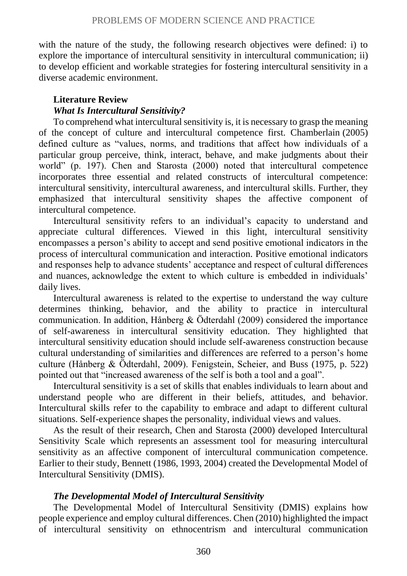with the nature of the study, the following research objectives were defined: i) to explore the importance of intercultural sensitivity in intercultural communication; ii) to develop efficient and workable strategies for fostering intercultural sensitivity in a diverse academic environment.

## **Literature Review** *What Is Intercultural Sensitivity?*

To comprehend what intercultural sensitivity is, it is necessary to grasp the meaning of the concept of culture and intercultural competence first. Chamberlain (2005) defined culture as "values, norms, and traditions that affect how individuals of a particular group perceive, think, interact, behave, and make judgments about their world" (p. 197). Chen and Starosta (2000) noted that intercultural competence incorporates three essential and related constructs of intercultural competence: intercultural sensitivity, intercultural awareness, and intercultural skills. Further, they emphasized that intercultural sensitivity shapes the affective component of intercultural competence.

Intercultural sensitivity refers to an individual's capacity to understand and appreciate cultural differences. Viewed in this light, intercultural sensitivity encompasses a person's ability to accept and send positive emotional indicators in the process of intercultural communication and interaction. Positive emotional indicators and responses help to advance students' acceptance and respect of cultural differences and nuances, acknowledge the extent to which culture is embedded in individuals' daily lives.

Intercultural awareness is related to the expertise to understand the way culture determines thinking, behavior, and the ability to practice in intercultural communication. In addition, Hånberg & Ödterdahl (2009) considered the importance of self-awareness in intercultural sensitivity education. They highlighted that intercultural sensitivity education should include self-awareness construction because cultural understanding of similarities and differences are referred to a person's home culture (Hånberg & Ödterdahl, 2009). Fenigstein, Scheier, and Buss (1975, p. 522) pointed out that "increased awareness of the self is both a tool and a goal".

Intercultural sensitivity is a set of skills that enables individuals to learn about and understand people who are different in their beliefs, attitudes, and behavior. Intercultural skills refer to the capability to embrace and adapt to different cultural situations. Self-experience shapes the personality, individual views and values.

As the result of their research, Chen and Starosta (2000) developed Intercultural Sensitivity Scale which represents an assessment tool for measuring intercultural sensitivity as an affective component of intercultural communication competence. Earlier to their study, Bennett (1986, 1993, 2004) created the Developmental Model of Intercultural Sensitivity (DMIS).

# *The Developmental Model of Intercultural Sensitivity*

The Developmental Model of Intercultural Sensitivity (DMIS) explains how people experience and employ cultural differences. Chen (2010) highlighted the impact of intercultural sensitivity on ethnocentrism and intercultural communication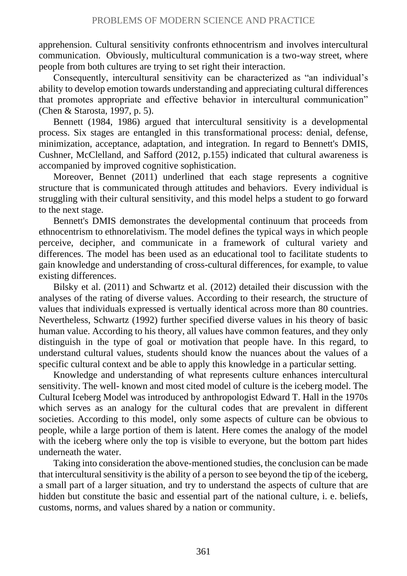apprehension. Cultural sensitivity confronts ethnocentrism and involves intercultural communication. Obviously, multicultural communication is a two-way street, where people from both cultures are trying to set right their interaction.

Consequently, intercultural sensitivity can be characterized as "an individual's ability to develop emotion towards understanding and appreciating cultural differences that promotes appropriate and effective behavior in intercultural communication" (Chen & Starosta, 1997, p. 5).

Bennett (1984, 1986) argued that intercultural sensitivity is a developmental process. Six stages are entangled in this transformational process: denial, defense, minimization, acceptance, adaptation, and integration. In regard to Bennett's DMIS, Cushner, McClelland, and Safford (2012, p.155) indicated that cultural awareness is accompanied by improved cognitive sophistication.

Moreover, Bennet (2011) underlined that each stage represents a cognitive structure that is communicated through attitudes and behaviors. Every individual is struggling with their cultural sensitivity, and this model helps a student to go forward to the next stage.

Bennett's DMIS demonstrates the developmental continuum that proceeds from ethnocentrism to ethnorelativism. The model defines the typical ways in which people perceive, decipher, and communicate in a framework of cultural variety and differences. The model has been used as an educational tool to facilitate students to gain knowledge and understanding of cross-cultural differences, for example, to value existing differences.

Bilsky et al. (2011) and Schwartz et al. (2012) detailed their discussion with the analyses of the rating of diverse values. According to their research, the structure of values that individuals expressed is vertually identical across more than 80 countries. Nevertheless, Schwartz (1992) further specified diverse values in his theory of basic human value. According to his theory, all values have common features, and they only distinguish in the type of goal or motivation that people have. In this regard, to understand cultural values, students should know the nuances about the values of a specific cultural context and be able to apply this knowledge in a particular setting.

Knowledge and understanding of what represents culture enhances intercultural sensitivity. The well- known and most cited model of culture is the iceberg model. The Cultural Iceberg Model was introduced by anthropologist Edward T. Hall in the 1970s which serves as an analogy for the cultural codes that are prevalent in different societies. According to this model, only some aspects of culture can be obvious to people, while a large portion of them is latent. Here comes the analogy of the model with the iceberg where only the top is visible to everyone, but the bottom part hides underneath the water.

Taking into consideration the above-mentioned studies, the conclusion can be made that intercultural sensitivity is the ability of a person to see beyond the tip of the iceberg, a small part of a larger situation, and try to understand the aspects of culture that are hidden but constitute the basic and essential part of the national culture, i. e. beliefs, customs, norms, and values shared by a nation or community.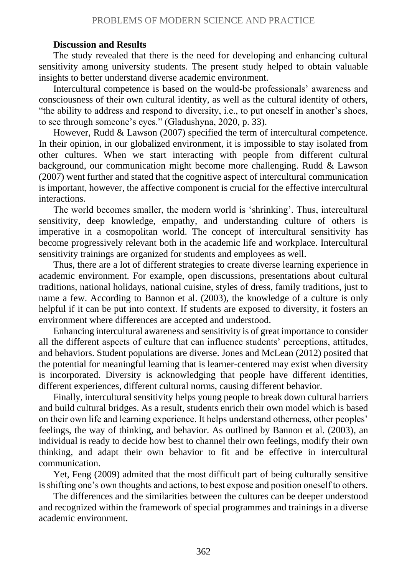#### **Discussion and Results**

The study revealed that there is the need for developing and enhancing cultural sensitivity among university students. The present study helped to obtain valuable insights to better understand diverse academic environment.

Intercultural competence is based on the would-be professionals' awareness and consciousness of their own cultural identity, as well as the cultural identity of others, "the ability to address and respond to diversity, i.e., to put oneself in another's shoes, to see through someone's eyes." (Gladushyna, 2020, p. 33).

However, Rudd & Lawson (2007) specified the term of intercultural competence. In their opinion, in our globalized environment, it is impossible to stay isolated from other cultures. When we start interacting with people from different cultural background, our communication might become more challenging. Rudd & Lawson (2007) went further and stated that the cognitive aspect of intercultural communication is important, however, the affective component is crucial for the effective intercultural interactions.

The world becomes smaller, the modern world is 'shrinking'. Thus, intercultural sensitivity, deep knowledge, empathy, and understanding culture of others is imperative in a cosmopolitan world. The concept of intercultural sensitivity has become progressively relevant both in the academic life and workplace. Intercultural sensitivity trainings are organized for students and employees as well.

Thus, there are a lot of different strategies to create diverse learning experience in academic environment. For example, open discussions, presentations about cultural traditions, national holidays, national cuisine, styles of dress, family traditions, just to name a few. According to Bannon et al. (2003), the knowledge of a culture is only helpful if it can be put into context. If students are exposed to diversity, it fosters an environment where differences are accepted and understood.

Enhancing intercultural awareness and sensitivity is of great importance to consider all the different aspects of culture that can influence students' perceptions, attitudes, and behaviors. Student populations are diverse. Jones and McLean (2012) posited that the potential for meaningful learning that is learner-centered may exist when diversity is incorporated. Diversity is acknowledging that people have different identities, different experiences, different cultural norms, causing different behavior.

Finally, intercultural sensitivity helps young people to break down cultural barriers and build cultural bridges. As a result, students enrich their own model which is based on their own life and learning experience. It helps understand otherness, other peoples' feelings, the way of thinking, and behavior. As outlined by Bannon et al. (2003), an individual is ready to decide how best to channel their own feelings, modify their own thinking, and adapt their own behavior to fit and be effective in intercultural communication.

Yet, Feng (2009) admited that the most difficult part of being culturally sensitive is shifting one's own thoughts and actions, to best expose and position oneself to others.

The differences and the similarities between the cultures can be deeper understood and recognized within the framework of special programmes and trainings in a diverse academic environment.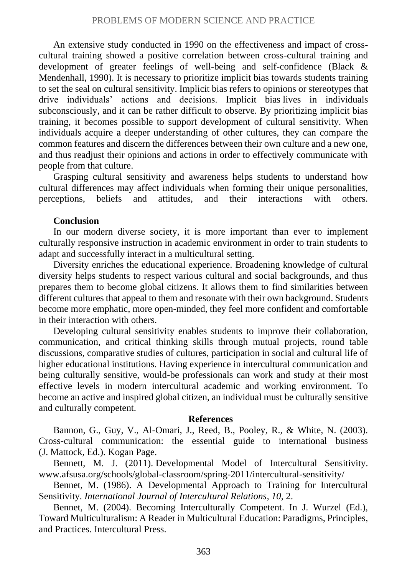An extensive study conducted in 1990 on the effectiveness and impact of crosscultural training showed a positive correlation between cross-cultural training and development of greater feelings of well-being and self-confidence (Black & Mendenhall, 1990). It is necessary to prioritize implicit bias towards students training to set the seal on cultural sensitivity. Implicit bias refers to opinions or stereotypes that drive individuals' actions and decisions. Implicit bias lives in individuals subconsciously, and it can be rather difficult to observe. By prioritizing implicit bias training, it becomes possible to support development of cultural sensitivity. When individuals acquire a deeper understanding of other cultures, they can compare the common features and discern the differences between their own culture and a new one, and thus readjust their opinions and actions in order to effectively communicate with people from that culture.

Grasping cultural sensitivity and awareness helps students to understand how cultural differences may affect individuals when forming their unique personalities, perceptions, beliefs and attitudes, and their interactions with others.

#### **Conclusion**

In our modern diverse society, it is more important than ever to implement culturally responsive instruction in academic environment in order to train students to adapt and successfully interact in a multicultural setting.

Diversity enriches the educational experience. Broadening knowledge of cultural diversity helps students to respect various cultural and social backgrounds, and thus prepares them to become global citizens. It allows them to find similarities between different cultures that appeal to them and resonate with their own background. Students become more emphatic, more open-minded, they feel more confident and comfortable in their interaction with others.

Developing cultural sensitivity enables students to improve their collaboration, communication, and critical thinking skills through mutual projects, round table discussions, comparative studies of cultures, participation in social and cultural life of higher educational institutions. Having experience in intercultural communication and being culturally sensitive, would-be professionals can work and study at their most effective levels in modern intercultural academic and working environment. To become an active and inspired global citizen, an individual must be culturally sensitive and culturally competent.

#### **References**

Bannon, G., Guy, V., Al-Omari, J., Reed, B., Pooley, R., & White, N. (2003). Cross-cultural communication: the essential guide to international business (J. Mattock, Ed.). Kogan Page.

Bennett, M. J. (2011). Developmental Model of Intercultural Sensitivity. www.afsusa.org/schools/global-classroom/spring-2011/intercultural-sensitivity/

Bennet, M. (1986). A Developmental Approach to Training for Intercultural Sensitivity. *International Journal of Intercultural Relations, 10*, 2.

Bennet, M. (2004). Becoming Interculturally Competent. In J. Wurzel (Ed.), Toward Multiculturalism: A Reader in Multicultural Education: Paradigms, Principles, and Practices. Intercultural Press.